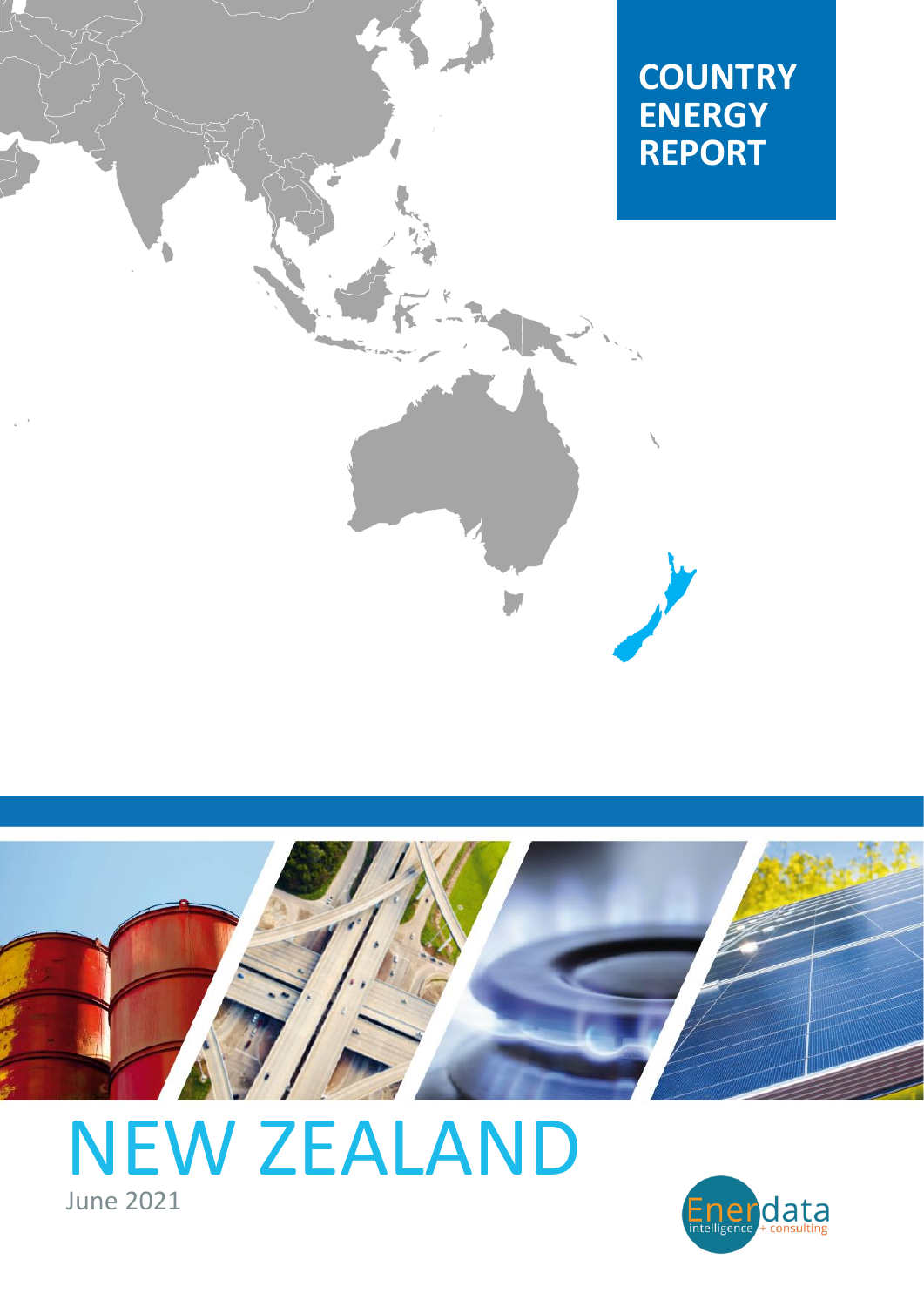



# [NEW ZEALAND](https://www.enerdata.net/estore/country-profiles/new-zealand.html) June 2021

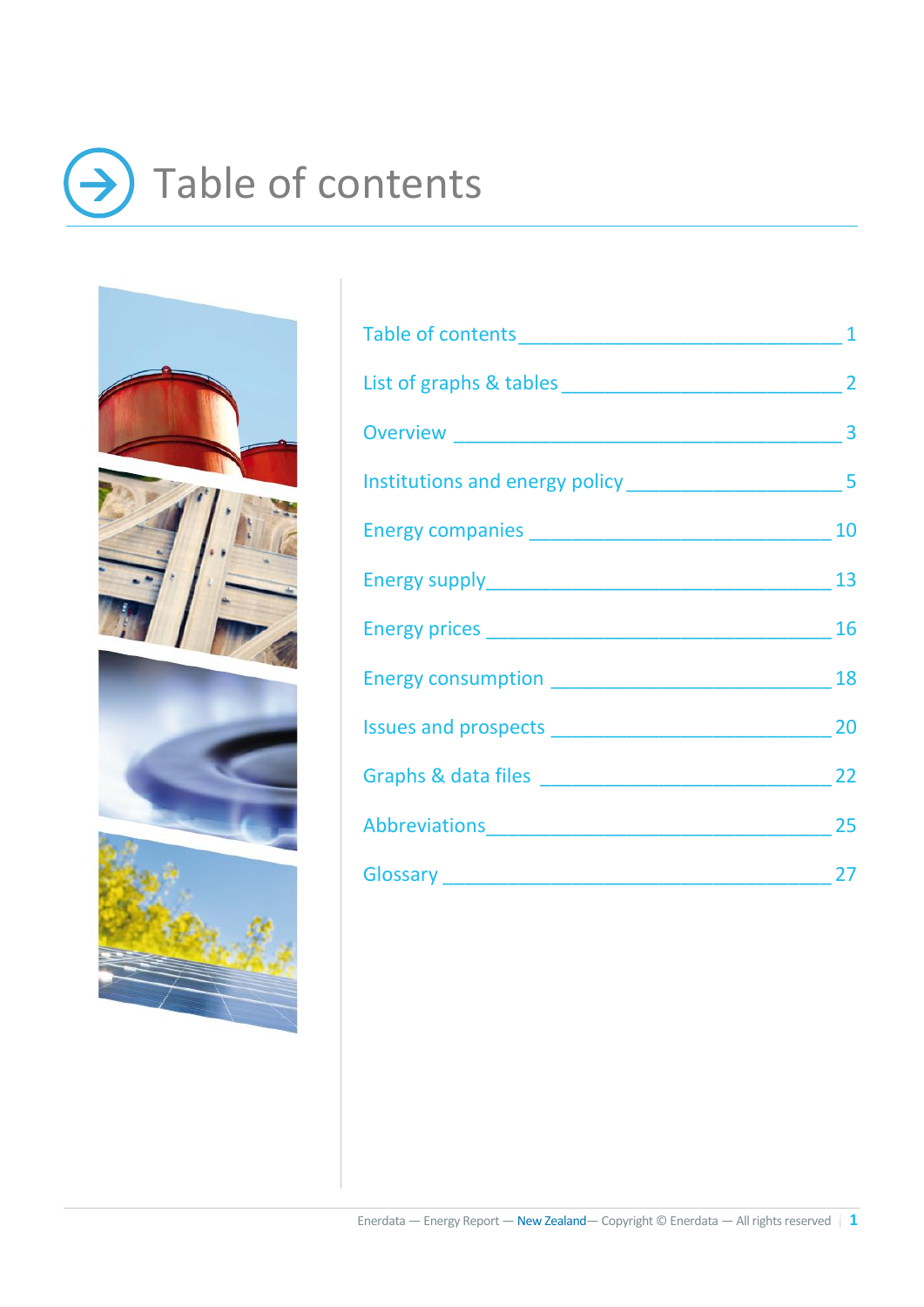## <span id="page-1-0"></span>Table of contents → $\bf{)}$





| Abbreviations 25 |  |
|------------------|--|
|                  |  |